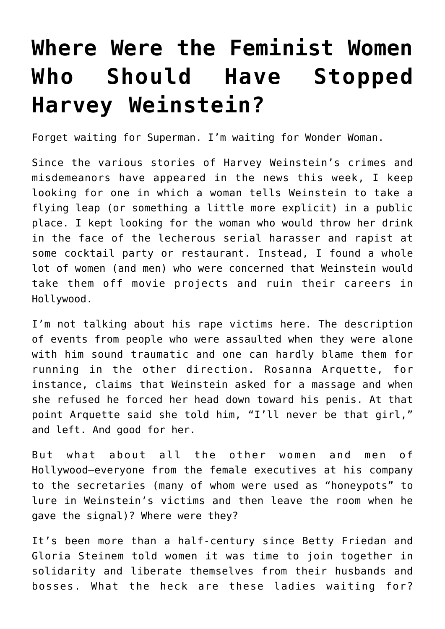## **[Where Were the Feminist Women](https://intellectualtakeout.org/2017/10/where-were-the-feminist-women-who-should-have-stopped-harvey-weinstein/) [Who Should Have Stopped](https://intellectualtakeout.org/2017/10/where-were-the-feminist-women-who-should-have-stopped-harvey-weinstein/) [Harvey Weinstein?](https://intellectualtakeout.org/2017/10/where-were-the-feminist-women-who-should-have-stopped-harvey-weinstein/)**

Forget waiting for Superman. I'm waiting for Wonder Woman.

Since the various stories of Harvey Weinstein's crimes and misdemeanors have appeared in the news this week, I keep looking for one in which a woman tells Weinstein to take a flying leap (or something a little more explicit) in a public place. I kept looking for the woman who would throw her drink in the face of the lecherous serial harasser and rapist at some cocktail party or restaurant. Instead, I found a whole lot of women (and men) who were concerned that Weinstein would take them off movie projects and ruin their careers in Hollywood.

I'm not talking about his rape victims here. The description of events from people who were assaulted when they were alone with him sound traumatic and one can hardly blame them for running in the other direction. Rosanna Arquette, for instance, claims that Weinstein asked for a massage and when she refused he forced her head down toward his penis. At that point Arquette said she told him, "I'll never be that girl," and left. And good for her.

But what about all the other women and men of Hollywood—everyone from the female executives at his company to the secretaries (many of whom were used as "honeypots" to lure in Weinstein's victims and then leave the room when he gave the signal)? Where were they?

It's been more than a half-century since Betty Friedan and Gloria Steinem told women it was time to join together in solidarity and liberate themselves from their husbands and bosses. What the heck are these ladies waiting for?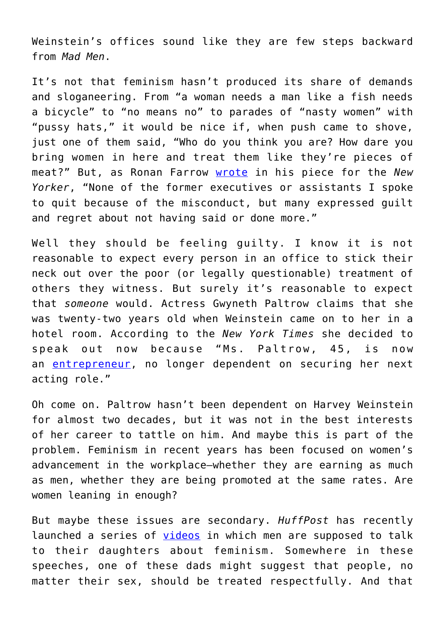Weinstein's offices sound like they are few steps backward from *Mad Men*.

It's not that feminism hasn't produced its share of demands and sloganeering. From "a woman needs a man like a fish needs a bicycle" to "no means no" to parades of "nasty women" with "pussy hats," it would be nice if, when push came to shove, just one of them said, "Who do you think you are? How dare you bring women in here and treat them like they're pieces of meat?" But, as Ronan Farrow [wrote](https://www.newyorker.com/news/news-desk/from-aggressive-overtures-to-sexual-assault-harvey-weinsteins-accusers-tell-their-stories) in his piece for the *New Yorker*, "None of the former executives or assistants I spoke to quit because of the misconduct, but many expressed guilt and regret about not having said or done more."

Well they should be feeling guilty. I know it is not reasonable to expect every person in an office to stick their neck out over the poor (or legally questionable) treatment of others they witness. But surely it's reasonable to expect that *someone* would. Actress Gwyneth Paltrow claims that she was twenty-two years old when Weinstein came on to her in a hotel room. According to the *New York Times* she decided to speak out now because "Ms. Paltrow, 45, is now an [entrepreneur](http://goop.com/), no longer dependent on securing her next acting role."

Oh come on. Paltrow hasn't been dependent on Harvey Weinstein for almost two decades, but it was not in the best interests of her career to tattle on him. And maybe this is part of the problem. Feminism in recent years has been focused on women's advancement in the workplace—whether they are earning as much as men, whether they are being promoted at the same rates. Are women leaning in enough?

But maybe these issues are secondary. *HuffPost* has recently launched a series of [videos](https://www.huffingtonpost.com/entry/dear-daughters_us_59ce8d1ae4b0782ce617a816) in which men are supposed to talk to their daughters about feminism. Somewhere in these speeches, one of these dads might suggest that people, no matter their sex, should be treated respectfully. And that